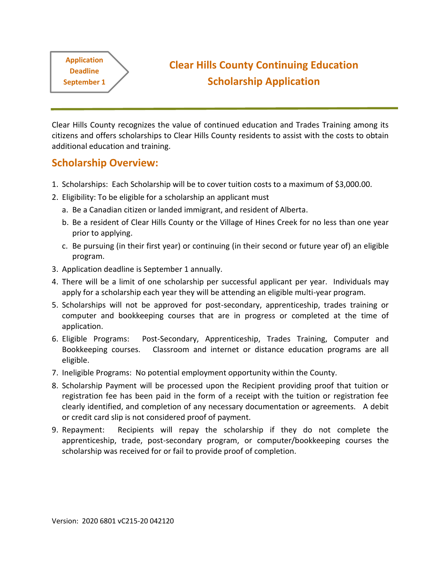**Application Deadline** 

**September 1**

# **Clear Hills County Continuing Education Scholarship Application**

Clear Hills County recognizes the value of continued education and Trades Training among its citizens and offers scholarships to Clear Hills County residents to assist with the costs to obtain additional education and training.

### **Scholarship Overview:**

- 1. Scholarships: Each Scholarship will be to cover tuition costs to a maximum of \$3,000.00.
- 2. Eligibility: To be eligible for a scholarship an applicant must
	- a. Be a Canadian citizen or landed immigrant, and resident of Alberta.
	- b. Be a resident of Clear Hills County or the Village of Hines Creek for no less than one year prior to applying.
	- c. Be pursuing (in their first year) or continuing (in their second or future year of) an eligible program.
- 3. Application deadline is September 1 annually.
- 4. There will be a limit of one scholarship per successful applicant per year. Individuals may apply for a scholarship each year they will be attending an eligible multi-year program.
- 5. Scholarships will not be approved for post-secondary, apprenticeship, trades training or computer and bookkeeping courses that are in progress or completed at the time of application.
- 6. Eligible Programs: Post-Secondary, Apprenticeship, Trades Training, Computer and Bookkeeping courses. Classroom and internet or distance education programs are all eligible.
- 7. Ineligible Programs: No potential employment opportunity within the County.
- 8. Scholarship Payment will be processed upon the Recipient providing proof that tuition or registration fee has been paid in the form of a receipt with the tuition or registration fee clearly identified, and completion of any necessary documentation or agreements. A debit or credit card slip is not considered proof of payment.
- 9. Repayment: Recipients will repay the scholarship if they do not complete the apprenticeship, trade, post-secondary program, or computer/bookkeeping courses the scholarship was received for or fail to provide proof of completion.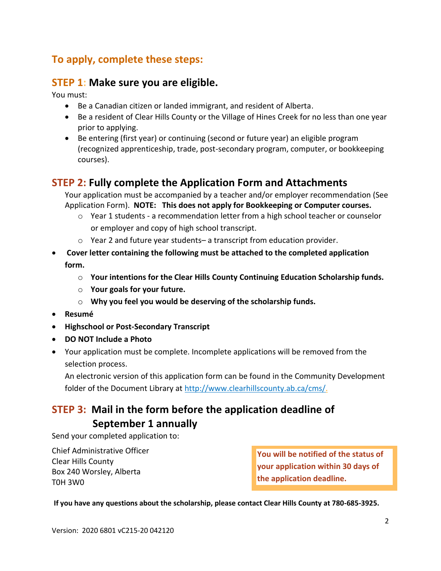## **To apply, complete these steps:**

### **STEP 1: Make sure you are eligible.**

You must:

- Be a Canadian citizen or landed immigrant, and resident of Alberta.
- Be a resident of Clear Hills County or the Village of Hines Creek for no less than one year prior to applying.
- Be entering (first year) or continuing (second or future year) an eligible program (recognized apprenticeship, trade, post-secondary program, computer, or bookkeeping courses).

### **STEP 2: Fully complete the Application Form and Attachments**

Your application must be accompanied by a teacher and/or employer recommendation (See Application Form). **NOTE: This does not apply for Bookkeeping or Computer courses.**

- $\circ$  Year 1 students a recommendation letter from a high school teacher or counselor or employer and copy of high school transcript.
- $\circ$  Year 2 and future year students– a transcript from education provider.
- **Cover letter containing the following must be attached to the completed application form.** 
	- o **Your intentions for the Clear Hills County Continuing Education Scholarship funds.**
	- o **Your goals for your future.**
	- o **Why you feel you would be deserving of the scholarship funds.**
- **Resumé**
- **Highschool or Post-Secondary Transcript**
- **DO NOT Include a Photo**
- Your application must be complete. Incomplete applications will be removed from the selection process.

An electronic version of this application form can be found in the Community Development folder of the Document Library at [http://www.clearhillscounty.ab.ca/cms/.](http://www.clearhillscounty.ab.ca/cms/)

## **STEP 3: Mail in the form before the application deadline of September 1 annually**

Send your completed application to:

Chief Administrative Officer Clear Hills County Box 240 Worsley, Alberta T0H 3W0

**You will be notified of the status of your application within 30 days of the application deadline.**

**If you have any questions about the scholarship, please contact Clear Hills County at 780-685-3925.**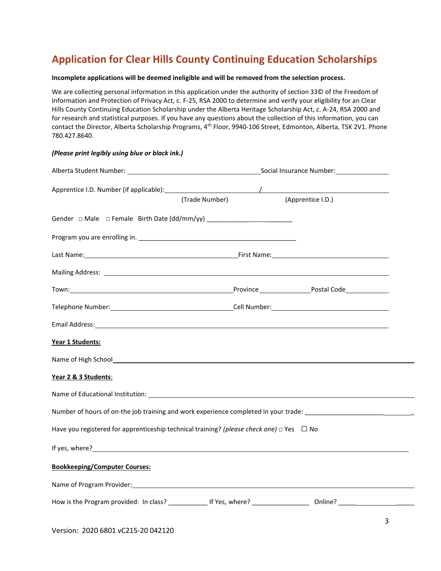## **Application for Clear Hills County Continuing Education Scholarships**

#### **Incomplete applications will be deemed ineligible and will be removed from the selection process.**

We are collecting personal information in this application under the authority of section 33© of the Freedom of Information and Protection of Privacy Act, c. F-25, RSA 2000 to determine and verify your eligibility for an Clear Hills County Continuing Education Scholarship under the Alberta Heritage Scholarship Act, c. A-24, RSA 2000 and for research and statistical purposes. If you have any questions about the collection of this information, you can contact the Director, Alberta Scholarship Programs, 4<sup>th</sup> Floor, 9940-106 Street, Edmonton, Alberta, T5K 2V1. Phone 780.427.8640.

| Alberta Student Number: University of the Contract of the Contract Operation of Social Insurance Number:                                                                                                                             |                |                                                                                                                |                   |   |
|--------------------------------------------------------------------------------------------------------------------------------------------------------------------------------------------------------------------------------------|----------------|----------------------------------------------------------------------------------------------------------------|-------------------|---|
|                                                                                                                                                                                                                                      |                |                                                                                                                |                   |   |
|                                                                                                                                                                                                                                      | (Trade Number) |                                                                                                                | (Apprentice I.D.) |   |
|                                                                                                                                                                                                                                      |                |                                                                                                                |                   |   |
|                                                                                                                                                                                                                                      |                |                                                                                                                |                   |   |
|                                                                                                                                                                                                                                      |                |                                                                                                                |                   |   |
| Mailing Address: <u>contract and the contract of the contract of the contract of the contract of the contract of the contract of the contract of the contract of the contract of the contract of the contract of the contract of</u> |                |                                                                                                                |                   |   |
|                                                                                                                                                                                                                                      |                |                                                                                                                |                   |   |
|                                                                                                                                                                                                                                      |                | Telephone Number: المستخدم العامل العالمية المستخدم العامل المستخدم العامل المستخدم المستخدم المستخدم المستخدم |                   |   |
| Email Address: and the contract of the contract of the contract of the contract of the contract of the contract of the contract of the contract of the contract of the contract of the contract of the contract of the contrac       |                |                                                                                                                |                   |   |
| Year 1 Students:                                                                                                                                                                                                                     |                |                                                                                                                |                   |   |
| Name of High School <b>Container and Container and Container and Container</b> and Container and Container                                                                                                                           |                |                                                                                                                |                   |   |
| Year 2 & 3 Students:                                                                                                                                                                                                                 |                |                                                                                                                |                   |   |
| Name of Educational Institution: University of the Contract of Contract of Contract of Contract of Contract of                                                                                                                       |                |                                                                                                                |                   |   |
| Number of hours of on-the job training and work experience completed in your trade: __________________________                                                                                                                       |                |                                                                                                                |                   |   |
| Have you registered for apprenticeship technical training? (please check one) $\Box$ Yes $\Box$ No                                                                                                                                   |                |                                                                                                                |                   |   |
|                                                                                                                                                                                                                                      |                |                                                                                                                |                   |   |
| <b>Bookkeeping/Computer Courses:</b>                                                                                                                                                                                                 |                |                                                                                                                |                   |   |
|                                                                                                                                                                                                                                      |                |                                                                                                                |                   |   |
|                                                                                                                                                                                                                                      |                |                                                                                                                |                   |   |
|                                                                                                                                                                                                                                      |                |                                                                                                                |                   | ર |

*(Please print legibly using blue or black ink.)*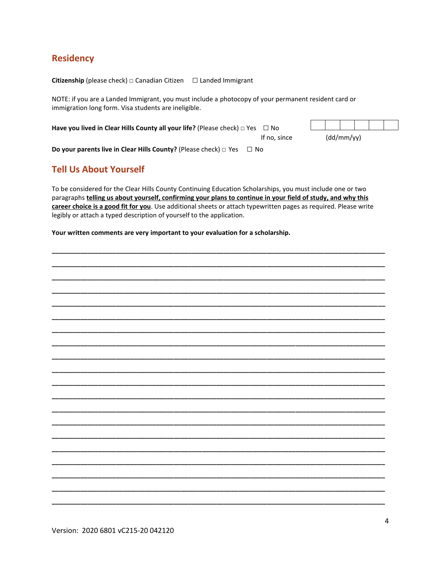### **Residency**

**Citizenship** (please check)  $\Box$  Canadian Citizen  $\Box$  Landed Immigrant

NOTE: if you are a Landed Immigrant, you must include a photocopy of your permanent resident card or immigration long form. Visa students are ineligible.

Have you lived in Clear Hills County all your life? (Please check)  $\Box$  Yes  $\Box$  No

If no, since  $(dd/mm/yy)$ 

Do your parents live in Clear Hills County? (Please check)  $\Box$  Yes  $\Box$  No

### **Tell Us About Yourself**

To be considered for the Clear Hills County Continuing Education Scholarships, you must include one or two paragraphs telling us about yourself, confirming your plans to continue in your field of study, and why this career choice is a good fit for you. Use additional sheets or attach typewritten pages as required. Please write legibly or attach a typed description of yourself to the application.

Your written comments are very important to your evaluation for a scholarship.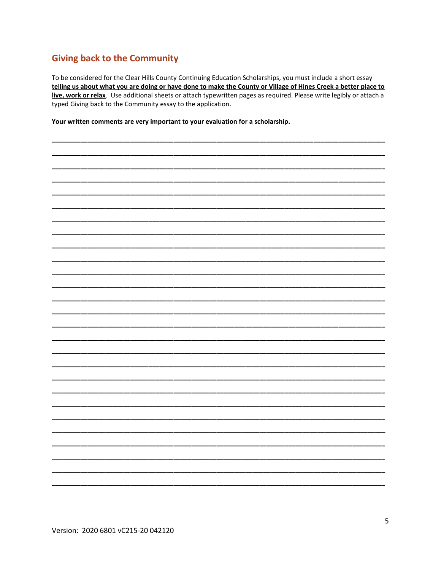### **Giving back to the Community**

To be considered for the Clear Hills County Continuing Education Scholarships, you must include a short essay telling us about what you are doing or have done to make the County or Village of Hines Creek a better place to live, work or relax. Use additional sheets or attach typewritten pages as required. Please write legibly or attach a typed Giving back to the Community essay to the application.

Your written comments are very important to your evaluation for a scholarship.

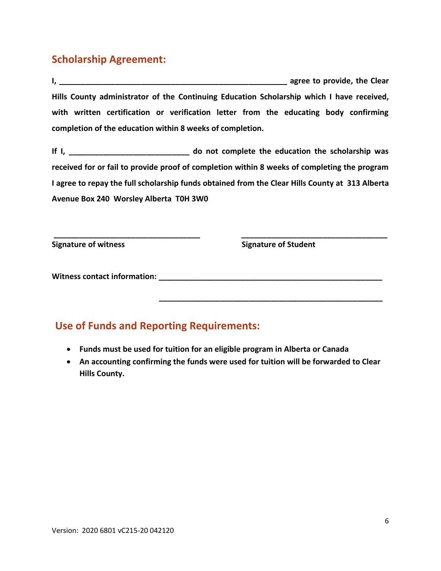## **Scholarship Agreement:**

**I, \_\_\_\_\_\_\_\_\_\_\_\_\_\_\_\_\_\_\_\_\_\_\_\_\_\_\_\_\_\_\_\_\_\_\_\_\_\_\_\_\_\_\_\_\_\_\_\_\_\_\_\_\_ agree to provide, the Clear Hills County administrator of the Continuing Education Scholarship which I have received, with written certification or verification letter from the educating body confirming completion of the education within 8 weeks of completion.**

**If I, \_\_\_\_\_\_\_\_\_\_\_\_\_\_\_\_\_\_\_\_\_\_\_\_\_\_\_\_ do not complete the education the scholarship was received for or fail to provide proof of completion within 8 weeks of completing the program I agree to repay the full scholarship funds obtained from the Clear Hills County at 313 Alberta Avenue Box 240 Worsley Alberta T0H 3W0**

**\_\_\_\_\_\_\_\_\_\_\_\_\_\_\_\_\_\_\_\_\_\_\_\_\_\_\_\_\_\_\_\_\_\_ \_\_\_\_\_\_\_\_\_\_\_\_\_\_\_\_\_\_\_\_\_\_\_\_\_\_\_\_\_\_\_\_\_\_**

**Signature of witness** Signature of Student

**\_\_\_\_\_\_\_\_\_\_\_\_\_\_\_\_\_\_\_\_\_\_\_\_\_\_\_\_\_\_\_\_\_\_\_\_\_\_\_\_\_\_\_\_\_\_\_\_\_\_\_\_**

**Witness contact information: \_\_\_\_\_\_\_\_\_\_\_\_\_\_\_\_\_\_\_\_\_\_\_\_\_\_\_\_\_\_\_\_\_\_\_\_\_\_\_\_\_\_\_\_\_\_\_\_\_\_\_\_**

## **Use of Funds and Reporting Requirements:**

- **Funds must be used for tuition for an eligible program in Alberta or Canada**
- **An accounting confirming the funds were used for tuition will be forwarded to Clear Hills County.**